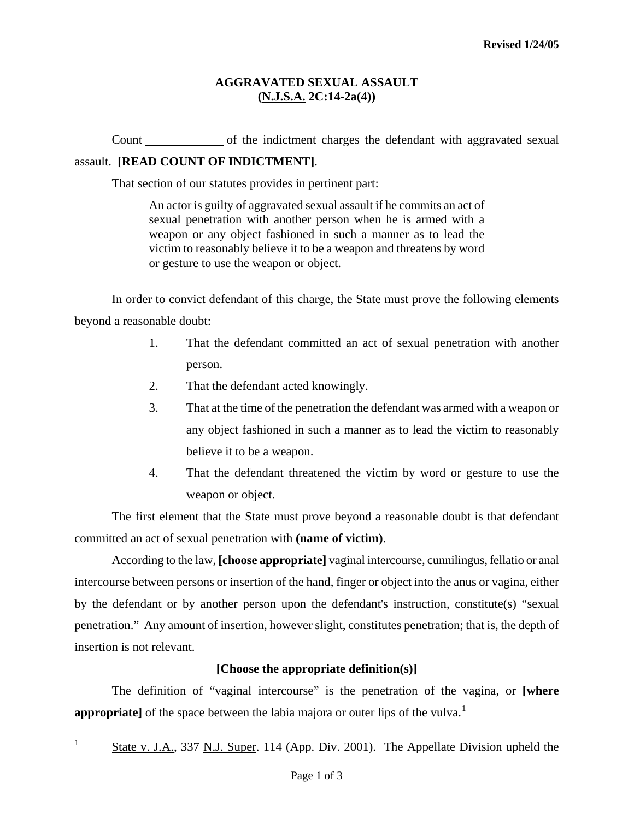## **AGGRAVATED SEXUAL ASSAULT (N.J.S.A. 2C:14-2a(4))**

Count of the indictment charges the defendant with aggravated sexual assault. **[READ COUNT OF INDICTMENT]**.

That section of our statutes provides in pertinent part:

An actor is guilty of aggravated sexual assault if he commits an act of sexual penetration with another person when he is armed with a weapon or any object fashioned in such a manner as to lead the victim to reasonably believe it to be a weapon and threatens by word or gesture to use the weapon or object.

In order to convict defendant of this charge, the State must prove the following elements beyond a reasonable doubt:

- 1. That the defendant committed an act of sexual penetration with another person.
- 2. That the defendant acted knowingly.
- 3. That at the time of the penetration the defendant was armed with a weapon or any object fashioned in such a manner as to lead the victim to reasonably believe it to be a weapon.
- 4. That the defendant threatened the victim by word or gesture to use the weapon or object.

The first element that the State must prove beyond a reasonable doubt is that defendant committed an act of sexual penetration with **(name of victim)**.

According to the law, **[choose appropriate]** vaginal intercourse, cunnilingus, fellatio or anal intercourse between persons or insertion of the hand, finger or object into the anus or vagina, either by the defendant or by another person upon the defendant's instruction, constitute(s) "sexual penetration." Any amount of insertion, however slight, constitutes penetration; that is, the depth of insertion is not relevant.

## **[Choose the appropriate definition(s)]**

<span id="page-0-1"></span>The definition of "vaginal intercourse" is the penetration of the vagina, or **[where appropriate**] of the space between the labia majora or outer lips of the vulva.<sup>[1](#page-0-0)</sup>

<span id="page-0-0"></span>|<br>1

State v. J.A., 337 N.J. Super. 114 (App. Div. 2001). The Appellate Division upheld the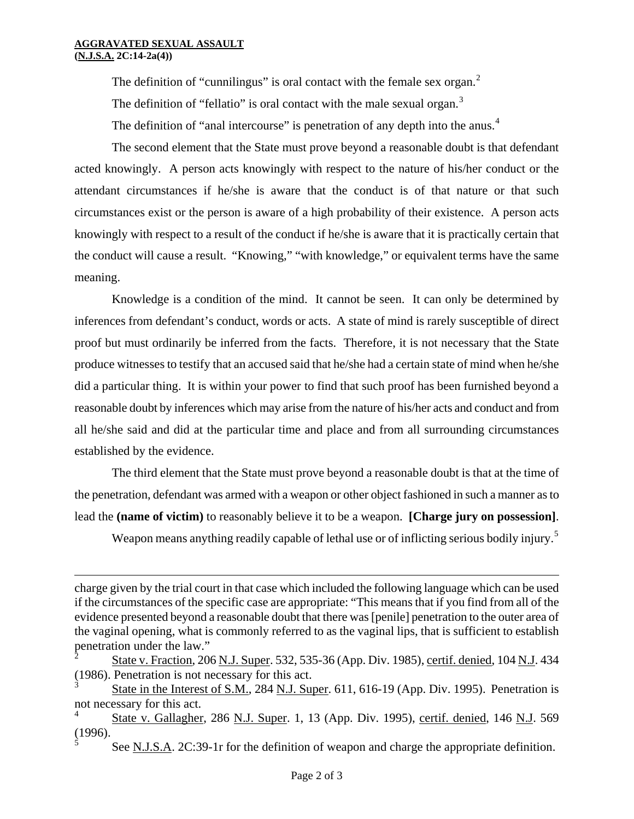$\equiv$ 

The definition of "cunnilingus" is oral contact with the female sex organ.<sup>[2](#page-0-1)</sup>

The definition of "fellatio" is oral contact with the male sexual organ. $3$ 

The definition of "anal intercourse" is penetration of any depth into the anus.<sup>[4](#page-1-1)</sup>

The second element that the State must prove beyond a reasonable doubt is that defendant acted knowingly. A person acts knowingly with respect to the nature of his/her conduct or the attendant circumstances if he/she is aware that the conduct is of that nature or that such circumstances exist or the person is aware of a high probability of their existence. A person acts knowingly with respect to a result of the conduct if he/she is aware that it is practically certain that the conduct will cause a result. "Knowing," "with knowledge," or equivalent terms have the same meaning.

Knowledge is a condition of the mind. It cannot be seen. It can only be determined by inferences from defendant's conduct, words or acts. A state of mind is rarely susceptible of direct proof but must ordinarily be inferred from the facts. Therefore, it is not necessary that the State produce witnesses to testify that an accused said that he/she had a certain state of mind when he/she did a particular thing. It is within your power to find that such proof has been furnished beyond a reasonable doubt by inferences which may arise from the nature of his/her acts and conduct and from all he/she said and did at the particular time and place and from all surrounding circumstances established by the evidence.

The third element that the State must prove beyond a reasonable doubt is that at the time of the penetration, defendant was armed with a weapon or other object fashioned in such a manner as to lead the **(name of victim)** to reasonably believe it to be a weapon. **[Charge jury on possession]**.

Weapon means anything readily capable of lethal use or of inflicting serious bodily injury.<sup>[5](#page-1-2)</sup>

charge given by the trial court in that case which included the following language which can be used if the circumstances of the specific case are appropriate: "This means that if you find from all of the evidence presented beyond a reasonable doubt that there was [penile] penetration to the outer area of the vaginal opening, what is commonly referred to as the vaginal lips, that is sufficient to establish penetration under the law."

State v. Fraction, 206 N.J. Super. 532, 535-36 (App. Div. 1985), certif. denied, 104 N.J. 434 (1986). Penetration is not necessary for this act.

<span id="page-1-0"></span><sup>3</sup> State in the Interest of S.M., 284 N.J. Super. 611, 616-19 (App. Div. 1995). Penetration is not necessary for this act.

<span id="page-1-2"></span><span id="page-1-1"></span><sup>4</sup> State v. Gallagher, 286 N.J. Super. 1, 13 (App. Div. 1995), certif. denied, 146 N.J. 569 (1996). 5

See N.J.S.A. 2C:39-1r for the definition of weapon and charge the appropriate definition.